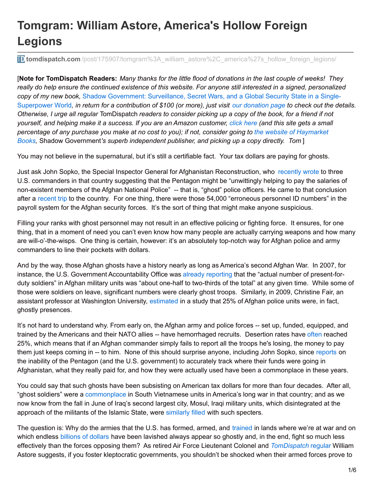# **Tomgram: William Astore, America's Hollow Foreign Legions**

**tomdispatch.com** [/post/175907/tomgram%3A\\_william\\_astore%2C\\_america%27s\\_hollow\\_foreign\\_legions/](http://www.tomdispatch.com/post/175907/tomgram%253A_william_astore%252C_america)

[Note for TomDispatch Readers: Many thanks for the little flood of donations in the last couple of weeks! They really do help ensure the continued existence of this website. For anyone still interested in a signed, personalized *copy of my new book,* Shadow [Government:](http://www.amazon.com/dp/1608463656/ref=nosim/?tag=tomdispatch-20) Surveillance, Secret Wars, and a Global Security State in a SingleSuperpower World, in return for a contribution of \$100 (or more), just visit our [donation](https://donatenow.networkforgood.org/1443285?uniqueID=634795889283895124) page to check out the details. Otherwise, I urge all regular TomDispatch readers to consider picking up a copy of the book, for a friend if not yourself, and helping make it a success. If you are an Amazon customer, [click](http://www.amazon.com/dp/1608463656/ref=nosim/?tag=tomdispatch-20) here (and this site gets a small percentage of any purchase you make at no cost to you); if not, consider going to the website of Haymarket *Books,* Shadow Government*'s superb [independent](http://www.haymarketbooks.org/pb/Shadow-Government) publisher, and picking up a copy directly. Tom* ]

You may not believe in the supernatural, but it's still a certifiable fact. Your tax dollars are paying for ghosts.

Just ask John Sopko, the Special Inspector General for Afghanistan Reconstruction, who [recently](http://www.washingtonpost.com/blogs/federal-eye/wp/2014/03/20/u-s-might-be-paying-ghost-workers-in-afghanistan-security-forces/) wrote to three U.S. commanders in that country suggesting that the Pentagon might be "unwittingly helping to pay the salaries of non-existent members of the Afghan National Police" -- that is, "ghost" police officers. He came to that conclusion after a [recent](http://www.stripes.com/news/watchdog-us-may-be-paying-salaries-of-ghost-afghan-policemen-1.273607) trip to the country. For one thing, there were those 54,000 "erroneous personnel ID numbers" in the payroll system for the Afghan security forces. It's the sort of thing that might make anyone suspicious.

Filling your ranks with ghost personnel may not result in an effective policing or fighting force. It ensures, for one thing, that in a moment of need you can't even know how many people are actually carrying weapons and how many are will-o'-the-wisps. One thing is certain, however: it's an absolutely top-notch way for Afghan police and army commanders to line their pockets with dollars.

And by the way, those Afghan ghosts have a history nearly as long as America's second Afghan War. In 2007, for instance, the U.S. Government Accountability Office was already [reporting](http://www.armytimes.com/article/20070320/NEWS/703200314/Pentagon-Iraqi-forces-still-fall-short) that the "actual number of present-forduty soldiers" in Afghan military units was "about one-half to two-thirds of the total" at any given time. While some of those were soldiers on leave, significant numbers were clearly ghost troops. Similarly, in 2009, Christine Fair, an assistant professor at Washington University, [estimated](http://www.npr.org/templates/story/story.php?storyId=121559123) in a study that 25% of Afghan police units were, in fact, ghostly presences.

It's not hard to understand why. From early on, the Afghan army and police forces -- set up, funded, equipped, and trained by the Americans and their NATO allies -- have hemorrhaged recruits. Desertion rates have [often](http://www.nydailynews.com/news/national/training-afghanistan-troops-tough-u-s-troops-trust-issues-worsen-article-1.432761) reached 25%, which means that if an Afghan commander simply fails to report all the troops he's losing, the money to pay them just keeps coming in -- to him. None of this should surprise anyone, including John Sopko, since [reports](http://www.publicintegrity.org/2014/09/03/15456/afghan-government-can-t-account-billions-dollars-pentagon-aid) on the inability of the Pentagon (and the U.S. government) to accurately track where their funds were going in Afghanistan, what they really paid for, and how they were actually used have been a commonplace in these years.

You could say that such ghosts have been subsisting on American tax dollars for more than four decades. After all, "ghost soldiers" were a [commonplace](http://books.google.com/books?id=Ctb6aN2_y2oC&pg=PA530&lpg=PA530&dq=south+vietnamese+ghost+soldiers&source=bl&ots=P4BUgQ3xzJ&sig=YKjr5ZNStuhzAjeB_8i6GETOskY&hl=en&sa=X&ei=kjY1VOvLM4mhyATw6IDIAQ&ved=0CFsQ6AEwCQ#v=onepage&q=south vietnamese ghost soldiers&f=false) in South Vietnamese units in America's long war in that country; and as we now know from the fall in June of Iraq's second largest city, Mosul, Iraqi military units, which disintegrated at the approach of the militants of the Islamic State, were [similarly](http://www.counterpunch.org/2014/09/29/the-rise-of-isis-and-the-origins-of-the-new-middle-east-war/) filled with such specters.

The question is: Why do the armies that the U.S. has formed, armed, and [trained](http://www.tomdispatch.com/post/175128/ann_jones_meet_the_afghan_army) in lands where we're at war and on which endless [billions](http://www.reuters.com/article/2011/11/29/us-afghanistan-financing-idUSTRE7AS0PH20111129) of dollars have been lavished always appear so ghostly and, in the end, fight so much less effectively than the forces opposing them? As retired Air Force Lieutenant Colonel and *[TomDispatch](http://www.tomdispatch.com/post/175855/william_astore_uncle_sam)* regular William Astore suggests, if you foster kleptocratic governments, you shouldn't be shocked when their armed forces prove to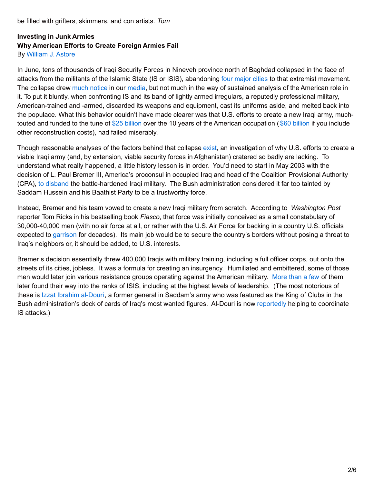### **Investing in Junk Armies Why American Efforts to Create Foreign Armies Fail** By [William](http://www.tomdispatch.com/authors/williamastore) J. Astore

In June, tens of thousands of Iraqi Security Forces in Nineveh province north of Baghdad collapsed in the face of attacks from the militants of the Islamic State (IS or ISIS), abandoning four [major](http://www.theguardian.com/world/2014/jun/11/mosul-isis-gunmen-middle-east-states) cities to that extremist movement. The collapse drew much [notice](http://www.nytimes.com/2014/06/13/world/middleeast/american-intelligence-officials-said-iraqi-military-had-been-in-decline.html) in our [media](http://www.washingtonpost.com/blogs/monkey-cage/wp/2014/06/13/why-the-iraqi-army-collapsed-and-what-can-be-done-about-it/), but not much in the way of sustained analysis of the American role in it. To put it bluntly, when confronting IS and its band of lightly armed irregulars, a reputedly professional military, American-trained and -armed, discarded its weapons and equipment, cast its uniforms aside, and melted back into the populace. What this behavior couldn't have made clearer was that U.S. efforts to create a new Iraqi army, muchtouted and funded to the tune of  $$25$  [billion](http://www.military.com/daily-news/2013/03/06/too-much-money-spent-in-iraq-for-too-few-results.html) over the 10 years of the American occupation ( $$60$  billion if you include other reconstruction costs), had failed miserably.

Though reasonable analyses of the factors behind that collapse [exist,](http://warontherocks.com/2014/07/inside-the-collapse-of-the-iraqi-armys-2nd-division/) an investigation of why U.S. efforts to create a viable Iraqi army (and, by extension, viable security forces in Afghanistan) cratered so badly are lacking. To understand what really happened, a little history lesson is in order. You'd need to start in May 2003 with the decision of L. Paul Bremer III, America's proconsul in occupied Iraq and head of the Coalition Provisional Authority (CPA), to [disband](http://www.slate.com/articles/news_and_politics/war_stories/2007/09/who_disbanded_the_iraqi_army.html) the battle-hardened Iraqi military. The Bush administration considered it far too tainted by Saddam Hussein and his Baathist Party to be a trustworthy force.

Instead, Bremer and his team vowed to create a new Iraqi military from scratch. According to *Washington Post* reporter Tom Ricks in his bestselling book *Fiasco*, that force was initially conceived as a small constabulary of 30,000-40,000 men (with no air force at all, or rather with the U.S. Air Force for backing in a country U.S. officials expected to [garrison](http://www.tomdispatch.com/post/174807/) for decades). Its main job would be to secure the country's borders without posing a threat to Iraq's neighbors or, it should be added, to U.S. interests.

Bremer's decision essentially threw 400,000 Iraqis with military training, including a full officer corps, out onto the streets of its cities, jobless. It was a formula for creating an insurgency. Humiliated and embittered, some of those men would later join various resistance groups operating against the American military. [More](http://www.nytimes.com/2014/08/28/world/middleeast/army-know-how-seen-as-factor-in-isis-successes.html) than a few of them later found their way into the ranks of ISIS, including at the highest levels of leadership. (The most notorious of these is Izzat Ibrahim [al-Douri](http://www.telegraph.co.uk/news/worldnews/middleeast/iraq/10065919/Izzat-Ibrahim-al-Douri-the-King-of-Clubs-is-back-and-he-may-yet-prove-to-be-Saddam-Husseins-trump-card.html), a former general in Saddam's army who was featured as the King of Clubs in the Bush administration's deck of cards of Iraq's most wanted figures. Al-Douri is now [reportedly](http://www.democracynow.org/2014/10/3/jeremy_scahill_on_obamas_orwellian_war) helping to coordinate IS attacks.)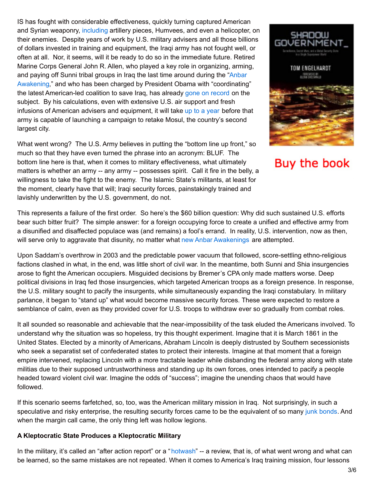IS has fought with considerable effectiveness, quickly turning captured American and Syrian weaponry, [including](http://www.washingtonsblog.com/2014/07/isis-taking-iraq-using-captured-american-weapons.html) artillery pieces, Humvees, and even a helicopter, on their enemies. Despite years of work by U.S. military advisers and all those billions of dollars invested in training and equipment, the Iraqi army has not fought well, or often at all. Nor, it seems, will it be ready to do so in the immediate future. Retired Marine Corps General John R. Allen, who played a key role in organizing, arming, and paying off Sunni tribal groups in Iraq the last time around during the "Anbar [Awakening,"](http://www.defenseone.com/ideas/2014/02/can-another-anbar-awakening-save-iraq/78053/) and who has been charged by President Obama with "coordinating" the latest American-led coalition to save Iraq, has already gone on [record](http://www.nytimes.com/2014/10/04/world/middleeast/coalition-leader-warns-of-long-fight-in-iraq.html) on the subject. By his calculations, even with extensive U.S. air support and fresh infusions of American advisers and equipment, it will take up to a [year](http://schnizzle.biz/82383/coalition-leader-warns-iraqi-military-wont-be-ready-to-take-back-mosul-for-at-least-a-year/) before that army is capable of launching a campaign to retake Mosul, the country's second largest city.

What went wrong? The U.S. Army believes in putting the "bottom line up front," so much so that they have even turned the phrase into an acronym: BLUF. The bottom line here is that, when it comes to military effectiveness, what ultimately matters is whether an army -- any army -- possesses spirit. Call it fire in the belly, a willingness to take the fight to the enemy. The Islamic State's militants, at least for the moment, clearly have that will; Iraqi security forces, painstakingly trained and lavishly underwritten by the U.S. government, do not.



## Buy the book

This represents a failure of the first order. So here's the \$60 billion question: Why did such sustained U.S. efforts bear such bitter fruit? The simple answer: for a foreign occupying force to create a unified and effective army from a disunified and disaffected populace was (and remains) a fool's errand. In reality, U.S. intervention, now as then, will serve only to aggravate that disunity, no matter what new Anbar [Awakenings](http://online.wsj.com/articles/sunnis-question-plan-for-iraqi-national-guard-1411076197) are attempted.

Upon Saddam's overthrow in 2003 and the predictable power vacuum that followed, score-settling ethno-religious factions clashed in what, in the end, was little short of civil war. In the meantime, both Sunni and Shia insurgencies arose to fight the American occupiers. Misguided decisions by Bremer's CPA only made matters worse. Deep political divisions in Iraq fed those insurgencies, which targeted American troops as a foreign presence. In response, the U.S. military sought to pacify the insurgents, while simultaneously expanding the Iraqi constabulary. In military parlance, it began to "stand up" what would become massive security forces. These were expected to restore a semblance of calm, even as they provided cover for U.S. troops to withdraw ever so gradually from combat roles.

It all sounded so reasonable and achievable that the near-impossibility of the task eluded the Americans involved. To understand why the situation was so hopeless, try this thought experiment. Imagine that it is March 1861 in the United States. Elected by a minority of Americans, Abraham Lincoln is deeply distrusted by Southern secessionists who seek a separatist set of confederated states to protect their interests. Imagine at that moment that a foreign empire intervened, replacing Lincoln with a more tractable leader while disbanding the federal army along with state militias due to their supposed untrustworthiness and standing up its own forces, ones intended to pacify a people headed toward violent civil war. Imagine the odds of "success"; imagine the unending chaos that would have followed.

If this scenario seems farfetched, so, too, was the American military mission in Iraq. Not surprisingly, in such a speculative and risky enterprise, the resulting security forces came to be the equivalent of so many junk [bonds](https://en.wikipedia.org/wiki/Michael_Milken). And when the margin call came, the only thing left was hollow legions.

#### **A Kleptocratic State Produces a Kleptocratic Military**

In the military, it's called an "after action report" or a "[hotwash](https://en.wikipedia.org/wiki/Hotwash)" -- a review, that is, of what went wrong and what can be learned, so the same mistakes are not repeated. When it comes to America's Iraq training mission, four lessons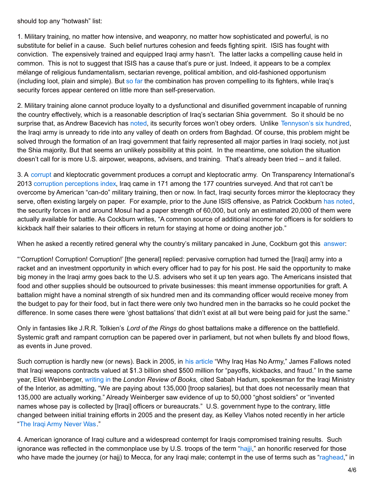should top any "hotwash" list:

1. Military training, no matter how intensive, and weaponry, no matter how sophisticated and powerful, is no substitute for belief in a cause. Such belief nurtures cohesion and feeds fighting spirit. ISIS has fought with conviction. The expensively trained and equipped Iraqi army hasn't. The latter lacks a compelling cause held in common. This is not to suggest that ISIS has a cause that's pure or just. Indeed, it appears to be a complex mélange of religious fundamentalism, sectarian revenge, political ambition, and old-fashioned opportunism (including loot, plain and simple). But so [far](http://www.usnews.com/news/articles/2014/09/09/the-islamic-state-how-obama-and-the-united-states-got-here) the combination has proven compelling to its fighters, while Iraq's security forces appear centered on little more than self-preservation.

2. Military training alone cannot produce loyalty to a dysfunctional and disunified government incapable of running the country effectively, which is a reasonable description of Iraq's sectarian Shia government. So it should be no surprise that, as Andrew Bacevich has [noted](http://www.washingtonpost.com/opinions/even-if-we-defeat-the-islamic-state-well-still-lose-the-bigger-war/2014/10/03/e8c0585e-4353-11e4-b47c-f5889e061e5f_story.html), its security forces won't obey orders. Unlike [Tennyson's](https://en.wikipedia.org/wiki/The_Charge_of_the_Light_Brigade_(poem)) six hundred, the Iraqi army is unready to ride into any valley of death on orders from Baghdad. Of course, this problem might be solved through the formation of an Iraqi government that fairly represented all major parties in Iraqi society, not just the Shia majority. But that seems an unlikely possibility at this point. In the meantime, one solution the situation doesn't call for is more U.S. airpower, weapons, advisers, and training. That's already been tried -- and it failed.

3. A [corrupt](http://www.independent.co.uk/news/world/middle-east/iraq-10-years-on-how-baghdad-became-a-city-of-corruption-8520038.html) and kleptocratic government produces a corrupt and kleptocratic army. On Transparency International's 2013 corruption [perceptions](http://www.transparency.org/cpi2013/results) index, Iraq came in 171 among the 177 countries surveyed. And that rot can't be overcome by American "can-do" military training, then or now. In fact, Iraqi security forces mirror the kleptocracy they serve, often existing largely on paper. For example, prior to the June ISIS offensive, as Patrick Cockburn has [noted](http://www.independent.co.uk/news/world/middle-east/isis-an-hour-away-from-baghdad--with-no-sign-of-iraq-army-being-able-to-make-a-successful-counterattack-9763658.html), the security forces in and around Mosul had a paper strength of 60,000, but only an estimated 20,000 of them were actually available for battle. As Cockburn writes, "A common source of additional income for officers is for soldiers to kickback half their salaries to their officers in return for staying at home or doing another job."

When he asked a recently retired general why the country's military pancaked in June, Cockburn got this [answer](http://www.lrb.co.uk/v36/n14/patrick-cockburn/battle-for-baghdad):

"'Corruption! Corruption! Corruption!' [the general] replied: pervasive corruption had turned the [Iraqi] army into a racket and an investment opportunity in which every officer had to pay for his post. He said the opportunity to make big money in the Iraqi army goes back to the U.S. advisers who set it up ten years ago. The Americans insisted that food and other supplies should be outsourced to private businesses: this meant immense opportunities for graft. A battalion might have a nominal strength of six hundred men and its commanding officer would receive money from the budget to pay for their food, but in fact there were only two hundred men in the barracks so he could pocket the difference. In some cases there were 'ghost battalions' that didn't exist at all but were being paid for just the same."

Only in fantasies like J.R.R. Tolkien's *Lord of the Rings* do ghost battalions make a difference on the battlefield. Systemic graft and rampant corruption can be papered over in parliament, but not when bullets fly and blood flows, as events in June proved.

Such corruption is hardly new (or news). Back in 2005, in his [article](http://www.theatlantic.com/magazine/archive/2005/12/why-iraq-has-no-army/304428/) "Why Iraq Has No Army," James Fallows noted that Iraqi weapons contracts valued at \$1.3 billion shed \$500 million for "payoffs, kickbacks, and fraud." In the same year, Eliot Weinberger, [writing](http://www.lrb.co.uk/v28/n01/eliot-weinberger/what-i-heard-about-iraq-in-2005) in the *London Review of Books,* cited Sabah Hadum, spokesman for the Iraqi Ministry of the Interior, as admitting, "We are paying about 135,000 [troop salaries], but that does not necessarily mean that 135,000 are actually working." Already Weinberger saw evidence of up to 50,000 "ghost soldiers" or "invented names whose pay is collected by [Iraqi] officers or bureaucrats." U.S. government hype to the contrary, little changed between initial training efforts in 2005 and the present day, as Kelley Vlahos noted recently in her article "The Iraqi Army [Never](http://www.theamericanconservative.com/articles/the-iraqi-army-never-was/) Was."

4. American ignorance of Iraqi culture and a widespread contempt for Iraqis compromised training results. Such ignorance was reflected in the commonplace use by U.S. troops of the term ["hajji](https://en.wikipedia.org/wiki/Hajji)," an honorific reserved for those who have made the journey (or hajj) to Mecca, for any Iraqi male; contempt in the use of terms such as ["raghead](http://www.nytimes.com/2005/05/02/opinion/02herbert.html)," in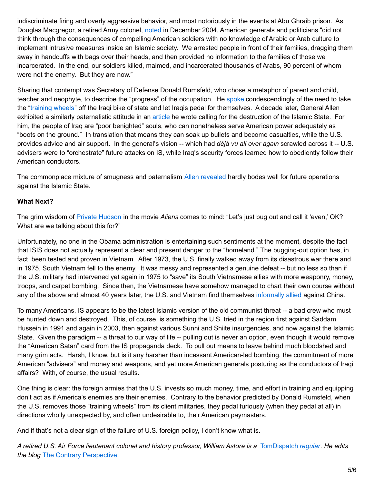indiscriminate firing and overly aggressive behavior, and most notoriously in the events at Abu Ghraib prison. As Douglas Macgregor, a retired Army colonel, [noted](http://www.theatlantic.com/magazine/archive/2005/04/getting-out-right/303828/) in December 2004, American generals and politicians "did not think through the consequences of compelling American soldiers with no knowledge of Arabic or Arab culture to implement intrusive measures inside an Islamic society. We arrested people in front of their families, dragging them away in handcuffs with bags over their heads, and then provided no information to the families of those we incarcerated. In the end, our soldiers killed, maimed, and incarcerated thousands of Arabs, 90 percent of whom were not the enemy. But they are now."

Sharing that contempt was Secretary of Defense Donald Rumsfeld, who chose a metaphor of parent and child, teacher and neophyte, to describe the "progress" of the occupation. He [spoke](http://www.tomdispatch.com/post/145283/) condescendingly of the need to take the ["training](http://www.cbsnews.com/news/bush-holds-gop-pep-rally-on-iraq/) wheels" off the Iraqi bike of state and let Iraqis pedal for themselves. A decade later, General Allen exhibited a similarly paternalistic attitude in an [article](http://www.defenseone.com/ideas/2014/08/gen-allen-destroy-islamic-state-now/92012/) he wrote calling for the destruction of the Islamic State. For him, the people of Iraq are "poor benighted" souls, who can nonetheless serve American power adequately as "boots on the ground." In translation that means they can soak up bullets and become casualties, while the U.S. provides advice and air support. In the general's vision -- which had *déjà vu all over again* scrawled across it -- U.S. advisers were to "orchestrate" future attacks on IS, while Iraq's security forces learned how to obediently follow their American conductors.

The commonplace mixture of smugness and paternalism Allen [revealed](http://contraryperspective.com/2014/08/22/general-allens-revealing-article-on-iraq/) hardly bodes well for future operations against the Islamic State.

### **What Next?**

The grim wisdom of Private [Hudson](https://www.youtube.com/watch?v=qrjFuTbl_SA) in the movie *Aliens* comes to mind: "Let's just bug out and call it 'even,' OK? What are we talking about this for?"

Unfortunately, no one in the Obama administration is entertaining such sentiments at the moment, despite the fact that ISIS does not actually represent a clear and present danger to the "homeland." The bugging-out option has, in fact, been tested and proven in Vietnam. After 1973, the U.S. finally walked away from its disastrous war there and, in 1975, South Vietnam fell to the enemy. It was messy and represented a genuine defeat -- but no less so than if the U.S. military had intervened yet again in 1975 to "save" its South Vietnamese allies with more weaponry, money, troops, and carpet bombing. Since then, the Vietnamese have somehow managed to chart their own course without any of the above and almost 40 years later, the U.S. and Vietnam find themselves [informally](http://www.reuters.com/article/2014/10/02/us-usa-vietnam-arms-idUSKCN0HR29V20141002) allied against China.

To many Americans, IS appears to be the latest Islamic version of the old communist threat -- a bad crew who must be hunted down and destroyed. This, of course, is something the U.S. tried in the region first against Saddam Hussein in 1991 and again in 2003, then against various Sunni and Shiite insurgencies, and now against the Islamic State. Given the paradigm -- a threat to our way of life -- pulling out is never an option, even though it would remove the "American Satan" card from the IS propaganda deck. To pull out means to leave behind much bloodshed and many grim acts. Harsh, I know, but is it any harsher than incessant American-led bombing, the commitment of more American "advisers" and money and weapons, and yet more American generals posturing as the conductors of Iraqi affairs? With, of course, the usual results.

One thing is clear: the foreign armies that the U.S. invests so much money, time, and effort in training and equipping don't act as if America's enemies are their enemies. Contrary to the behavior predicted by Donald Rumsfeld, when the U.S. removes those "training wheels" from its client militaries, they pedal furiously (when they pedal at all) in directions wholly unexpected by, and often undesirable to, their American paymasters.

And if that's not a clear sign of the failure of U.S. foreign policy, I don't know what is.

A retired U.S. Air Force lieutenant colonel and history professor, William Astore is a [TomDispatch](http://www.tomdispatch.com/post/175855/william_astore_uncle_sam_doesn) regular. He edits *the blog* The Contrary [Perspective](http://contraryperspective.com/)*.*